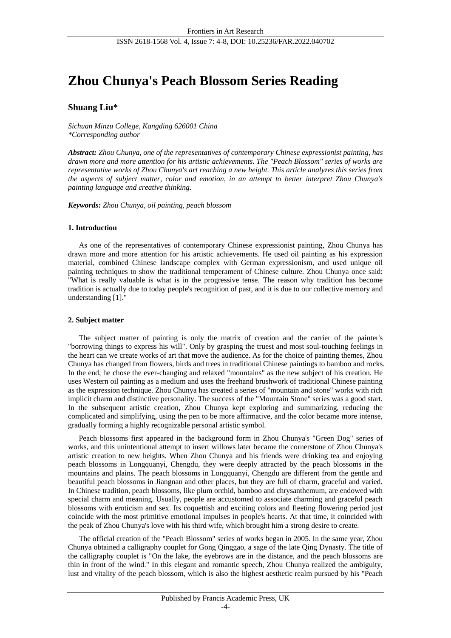# **Zhou Chunya's Peach Blossom Series Reading**

# **Shuang Liu\***

*Sichuan Minzu College, Kangding 626001 China \*Corresponding author*

*Abstract: Zhou Chunya, one of the representatives of contemporary Chinese expressionist painting, has drawn more and more attention for his artistic achievements. The "Peach Blossom" series of works are representative works of Zhou Chunya's art reaching a new height. This article analyzes this series from the aspects of subject matter, color and emotion, in an attempt to better interpret Zhou Chunya's painting language and creative thinking.*

*Keywords: Zhou Chunya, oil painting, peach blossom*

#### **1. Introduction**

As one of the representatives of contemporary Chinese expressionist painting, Zhou Chunya has drawn more and more attention for his artistic achievements. He used oil painting as his expression material, combined Chinese landscape complex with German expressionism, and used unique oil painting techniques to show the traditional temperament of Chinese culture. Zhou Chunya once said: "What is really valuable is what is in the progressive tense. The reason why tradition has become tradition is actually due to today people's recognition of past, and it is due to our collective memory and understanding [1]."

## **2. Subject matter**

The subject matter of painting is only the matrix of creation and the carrier of the painter's "borrowing things to express his will". Only by grasping the truest and most soul-touching feelings in the heart can we create works of art that move the audience. As for the choice of painting themes, Zhou Chunya has changed from flowers, birds and trees in traditional Chinese paintings to bamboo and rocks. In the end, he chose the ever-changing and relaxed "mountains" as the new subject of his creation. He uses Western oil painting as a medium and uses the freehand brushwork of traditional Chinese painting as the expression technique. Zhou Chunya has created a series of "mountain and stone" works with rich implicit charm and distinctive personality. The success of the "Mountain Stone" series was a good start. In the subsequent artistic creation, Zhou Chunya kept exploring and summarizing, reducing the complicated and simplifying, using the pen to be more affirmative, and the color became more intense, gradually forming a highly recognizable personal artistic symbol.

Peach blossoms first appeared in the background form in Zhou Chunya's "Green Dog" series of works, and this unintentional attempt to insert willows later became the cornerstone of Zhou Chunya's artistic creation to new heights. When Zhou Chunya and his friends were drinking tea and enjoying peach blossoms in Longquanyi, Chengdu, they were deeply attracted by the peach blossoms in the mountains and plains. The peach blossoms in Longquanyi, Chengdu are different from the gentle and beautiful peach blossoms in Jiangnan and other places, but they are full of charm, graceful and varied. In Chinese tradition, peach blossoms, like plum orchid, bamboo and chrysanthemum, are endowed with special charm and meaning. Usually, people are accustomed to associate charming and graceful peach blossoms with eroticism and sex. Its coquettish and exciting colors and fleeting flowering period just coincide with the most primitive emotional impulses in people's hearts. At that time, it coincided with the peak of Zhou Chunya's love with his third wife, which brought him a strong desire to create.

The official creation of the "Peach Blossom" series of works began in 2005. In the same year, Zhou Chunya obtained a calligraphy couplet for Gong Qinggao, a sage of the late Qing Dynasty. The title of the calligraphy couplet is "On the lake, the eyebrows are in the distance, and the peach blossoms are thin in front of the wind." In this elegant and romantic speech, Zhou Chunya realized the ambiguity, lust and vitality of the peach blossom, which is also the highest aesthetic realm pursued by his "Peach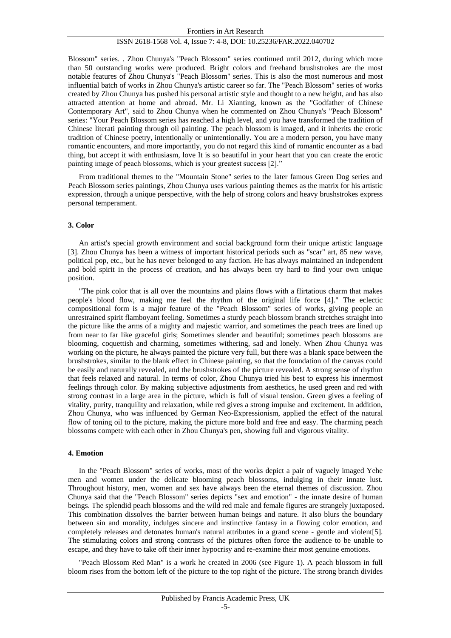Blossom" series. . Zhou Chunya's "Peach Blossom" series continued until 2012, during which more than 50 outstanding works were produced. Bright colors and freehand brushstrokes are the most notable features of Zhou Chunya's "Peach Blossom" series. This is also the most numerous and most influential batch of works in Zhou Chunya's artistic career so far. The "Peach Blossom" series of works created by Zhou Chunya has pushed his personal artistic style and thought to a new height, and has also attracted attention at home and abroad. Mr. Li Xianting, known as the "Godfather of Chinese Contemporary Art", said to Zhou Chunya when he commented on Zhou Chunya's "Peach Blossom" series: "Your Peach Blossom series has reached a high level, and you have transformed the tradition of Chinese literati painting through oil painting. The peach blossom is imaged, and it inherits the erotic tradition of Chinese poetry, intentionally or unintentionally. You are a modern person, you have many romantic encounters, and more importantly, you do not regard this kind of romantic encounter as a bad thing, but accept it with enthusiasm, love It is so beautiful in your heart that you can create the erotic painting image of peach blossoms, which is your greatest success [2]."

From traditional themes to the "Mountain Stone" series to the later famous Green Dog series and Peach Blossom series paintings, Zhou Chunya uses various painting themes as the matrix for his artistic expression, through a unique perspective, with the help of strong colors and heavy brushstrokes express personal temperament.

#### **3. Color**

An artist's special growth environment and social background form their unique artistic language [3]. Zhou Chunya has been a witness of important historical periods such as "scar" art, 85 new wave, political pop, etc., but he has never belonged to any faction. He has always maintained an independent and bold spirit in the process of creation, and has always been try hard to find your own unique position.

"The pink color that is all over the mountains and plains flows with a flirtatious charm that makes people's blood flow, making me feel the rhythm of the original life force [4]." The eclectic compositional form is a major feature of the "Peach Blossom" series of works, giving people an unrestrained spirit flamboyant feeling. Sometimes a sturdy peach blossom branch stretches straight into the picture like the arms of a mighty and majestic warrior, and sometimes the peach trees are lined up from near to far like graceful girls; Sometimes slender and beautiful; sometimes peach blossoms are blooming, coquettish and charming, sometimes withering, sad and lonely. When Zhou Chunya was working on the picture, he always painted the picture very full, but there was a blank space between the brushstrokes, similar to the blank effect in Chinese painting, so that the foundation of the canvas could be easily and naturally revealed, and the brushstrokes of the picture revealed. A strong sense of rhythm that feels relaxed and natural. In terms of color, Zhou Chunya tried his best to express his innermost feelings through color. By making subjective adjustments from aesthetics, he used green and red with strong contrast in a large area in the picture, which is full of visual tension. Green gives a feeling of vitality, purity, tranquility and relaxation, while red gives a strong impulse and excitement. In addition, Zhou Chunya, who was influenced by German Neo-Expressionism, applied the effect of the natural flow of toning oil to the picture, making the picture more bold and free and easy. The charming peach blossoms compete with each other in Zhou Chunya's pen, showing full and vigorous vitality.

#### **4. Emotion**

In the "Peach Blossom" series of works, most of the works depict a pair of vaguely imaged Yehe men and women under the delicate blooming peach blossoms, indulging in their innate lust. Throughout history, men, women and sex have always been the eternal themes of discussion. Zhou Chunya said that the "Peach Blossom" series depicts "sex and emotion" - the innate desire of human beings. The splendid peach blossoms and the wild red male and female figures are strangely juxtaposed. This combination dissolves the barrier between human beings and nature. It also blurs the boundary between sin and morality, indulges sincere and instinctive fantasy in a flowing color emotion, and completely releases and detonates human's natural attributes in a grand scene - gentle and violent[5]. The stimulating colors and strong contrasts of the pictures often force the audience to be unable to escape, and they have to take off their inner hypocrisy and re-examine their most genuine emotions.

"Peach Blossom Red Man" is a work he created in 2006 (see Figure 1). A peach blossom in full bloom rises from the bottom left of the picture to the top right of the picture. The strong branch divides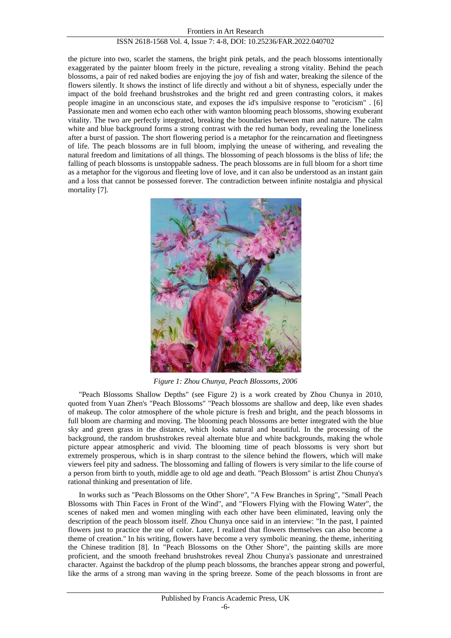the picture into two, scarlet the stamens, the bright pink petals, and the peach blossoms intentionally exaggerated by the painter bloom freely in the picture, revealing a strong vitality. Behind the peach blossoms, a pair of red naked bodies are enjoying the joy of fish and water, breaking the silence of the flowers silently. It shows the instinct of life directly and without a bit of shyness, especially under the impact of the bold freehand brushstrokes and the bright red and green contrasting colors, it makes people imagine in an unconscious state, and exposes the id's impulsive response to "eroticism" . [6] Passionate men and women echo each other with wanton blooming peach blossoms, showing exuberant vitality. The two are perfectly integrated, breaking the boundaries between man and nature. The calm white and blue background forms a strong contrast with the red human body, revealing the loneliness after a burst of passion. The short flowering period is a metaphor for the reincarnation and fleetingness of life. The peach blossoms are in full bloom, implying the unease of withering, and revealing the natural freedom and limitations of all things. The blossoming of peach blossoms is the bliss of life; the falling of peach blossoms is unstoppable sadness. The peach blossoms are in full bloom for a short time as a metaphor for the vigorous and fleeting love of love, and it can also be understood as an instant gain and a loss that cannot be possessed forever. The contradiction between infinite nostalgia and physical mortality [7].



*Figure 1: Zhou Chunya, Peach Blossoms, 2006*

"Peach Blossoms Shallow Depths" (see Figure 2) is a work created by Zhou Chunya in 2010, quoted from Yuan Zhen's "Peach Blossoms" "Peach blossoms are shallow and deep, like even shades of makeup. The color atmosphere of the whole picture is fresh and bright, and the peach blossoms in full bloom are charming and moving. The blooming peach blossoms are better integrated with the blue sky and green grass in the distance, which looks natural and beautiful. In the processing of the background, the random brushstrokes reveal alternate blue and white backgrounds, making the whole picture appear atmospheric and vivid. The blooming time of peach blossoms is very short but extremely prosperous, which is in sharp contrast to the silence behind the flowers, which will make viewers feel pity and sadness. The blossoming and falling of flowers is very similar to the life course of a person from birth to youth, middle age to old age and death. "Peach Blossom" is artist Zhou Chunya's rational thinking and presentation of life.

In works such as "Peach Blossoms on the Other Shore", "A Few Branches in Spring", "Small Peach Blossoms with Thin Faces in Front of the Wind", and "Flowers Flying with the Flowing Water", the scenes of naked men and women mingling with each other have been eliminated, leaving only the description of the peach blossom itself. Zhou Chunya once said in an interview: "In the past, I painted flowers just to practice the use of color. Later, I realized that flowers themselves can also become a theme of creation." In his writing, flowers have become a very symbolic meaning. the theme, inheriting the Chinese tradition [8]. In "Peach Blossoms on the Other Shore", the painting skills are more proficient, and the smooth freehand brushstrokes reveal Zhou Chunya's passionate and unrestrained character. Against the backdrop of the plump peach blossoms, the branches appear strong and powerful, like the arms of a strong man waving in the spring breeze. Some of the peach blossoms in front are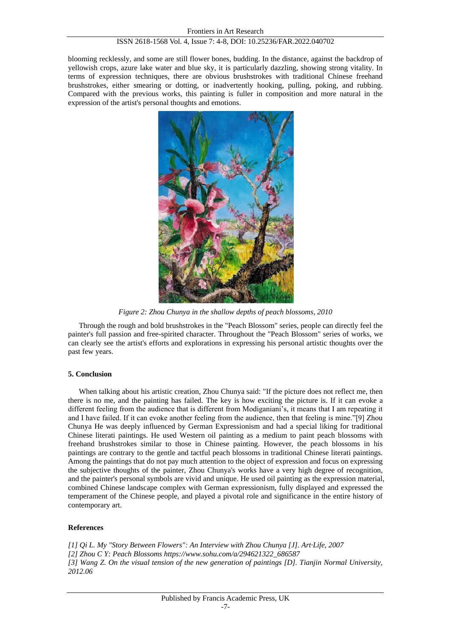blooming recklessly, and some are still flower bones, budding. In the distance, against the backdrop of yellowish crops, azure lake water and blue sky, it is particularly dazzling, showing strong vitality. In terms of expression techniques, there are obvious brushstrokes with traditional Chinese freehand brushstrokes, either smearing or dotting, or inadvertently hooking, pulling, poking, and rubbing. Compared with the previous works, this painting is fuller in composition and more natural in the expression of the artist's personal thoughts and emotions.



*Figure 2: Zhou Chunya in the shallow depths of peach blossoms, 2010*

Through the rough and bold brushstrokes in the "Peach Blossom" series, people can directly feel the painter's full passion and free-spirited character. Throughout the "Peach Blossom" series of works, we can clearly see the artist's efforts and explorations in expressing his personal artistic thoughts over the past few years.

## **5. Conclusion**

When talking about his artistic creation, Zhou Chunya said: "If the picture does not reflect me, then there is no me, and the painting has failed. The key is how exciting the picture is. If it can evoke a different feeling from the audience that is different from Modiganiani's, it means that I am repeating it and I have failed. If it can evoke another feeling from the audience, then that feeling is mine."[9] Zhou Chunya He was deeply influenced by German Expressionism and had a special liking for traditional Chinese literati paintings. He used Western oil painting as a medium to paint peach blossoms with freehand brushstrokes similar to those in Chinese painting. However, the peach blossoms in his paintings are contrary to the gentle and tactful peach blossoms in traditional Chinese literati paintings. Among the paintings that do not pay much attention to the object of expression and focus on expressing the subjective thoughts of the painter, Zhou Chunya's works have a very high degree of recognition, and the painter's personal symbols are vivid and unique. He used oil painting as the expression material, combined Chinese landscape complex with German expressionism, fully displayed and expressed the temperament of the Chinese people, and played a pivotal role and significance in the entire history of contemporary art.

# **References**

*[1] Qi L. My "Story Between Flowers": An Interview with Zhou Chunya [J]. Art·Life, 2007 [2] Zhou C Y: Peach Blossoms https://www.sohu.com/a/294621322\_686587 [3] Wang Z. On the visual tension of the new generation of paintings [D]. Tianjin Normal University, 2012.06*